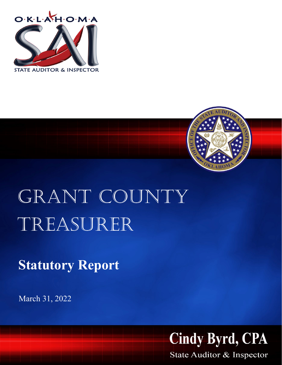



## GRANT COUNTY Treasurer

**Statutory Report**

March 31, 2022



State Auditor & Inspector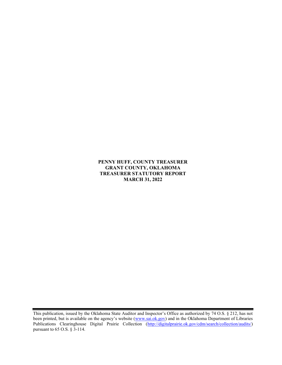## PENNY HUFF, COUNTY TREASURER GRANT COUNTY, OKLAHOMA TREASURER STATUTORY REPORT MARCH 31, 2022

This publication, issued by the Oklahoma State Auditor and Inspector's Office as authorized by 74 O.S. § 212, has not been printed, but is available on the agency's website (www.sai.ok.gov) and in the Oklahoma Department of Libraries Publications Clearinghouse Digital Prairie Collection (http://digitalprairie.ok.gov/cdm/search/collection/audits/) pursuant to 65 O.S. § 3-114.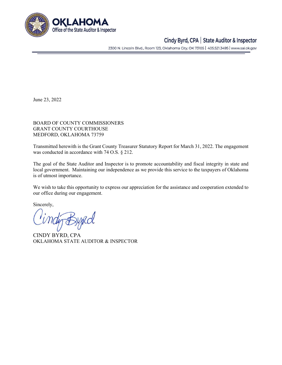

## Cindy Byrd, CPA | State Auditor & Inspector

2300 N. Lincoln Blvd., Room 123, Oklahoma City, OK 73105 | 405.521.3495 | www.sai.ok.gov

June 23, 2022

BOARD OF COUNTY COMMISSIONERS GRANT COUNTY COURTHOUSE MEDFORD, OKLAHOMA 73759

Transmitted herewith is the Grant County Treasurer Statutory Report for March 31, 2022. The engagement was conducted in accordance with 74 O.S. § 212.

The goal of the State Auditor and Inspector is to promote accountability and fiscal integrity in state and local government. Maintaining our independence as we provide this service to the taxpayers of Oklahoma is of utmost importance.

We wish to take this opportunity to express our appreciation for the assistance and cooperation extended to our office during our engagement.

Sincerely,

CINDY BYRD, CPA OKLAHOMA STATE AUDITOR & INSPECTOR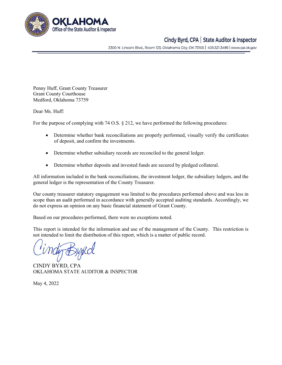

## Cindy Byrd, CPA | State Auditor & Inspector

2300 N. Lincoln Blvd., Room 123, Oklahoma City, OK 73105 | 405.521.3495 | www.sai.ok.gov

Penny Huff, Grant County Treasurer Grant County Courthouse Medford, Oklahoma 73759

Dear Ms. Huff:

For the purpose of complying with 74 O.S. § 212, we have performed the following procedures:

- Determine whether bank reconciliations are properly performed, visually verify the certificates of deposit, and confirm the investments.
- Determine whether subsidiary records are reconciled to the general ledger.
- Determine whether deposits and invested funds are secured by pledged collateral.

All information included in the bank reconciliations, the investment ledger, the subsidiary ledgers, and the general ledger is the representation of the County Treasurer.

Our county treasurer statutory engagement was limited to the procedures performed above and was less in scope than an audit performed in accordance with generally accepted auditing standards. Accordingly, we do not express an opinion on any basic financial statement of Grant County.

Based on our procedures performed, there were no exceptions noted.

This report is intended for the information and use of the management of the County. This restriction is not intended to limit the distribution of this report, which is a matter of public record.

CINDY BYRD, CPA OKLAHOMA STATE AUDITOR & INSPECTOR

May 4, 2022